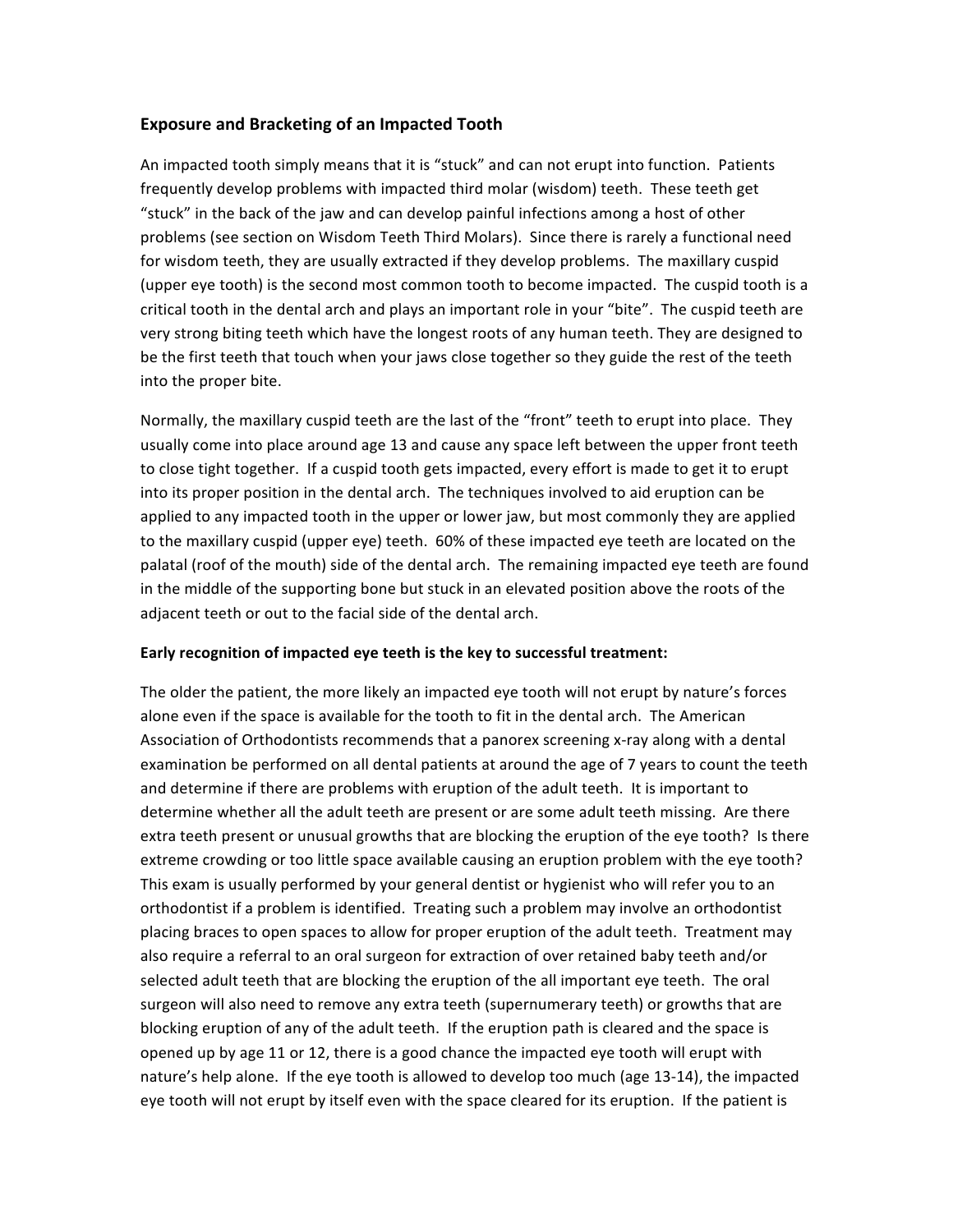## **Exposure and Bracketing of an Impacted Tooth**

An impacted tooth simply means that it is "stuck" and can not erupt into function. Patients frequently develop problems with impacted third molar (wisdom) teeth. These teeth get "stuck" in the back of the jaw and can develop painful infections among a host of other problems (see section on Wisdom Teeth Third Molars). Since there is rarely a functional need for wisdom teeth, they are usually extracted if they develop problems. The maxillary cuspid (upper eye tooth) is the second most common tooth to become impacted. The cuspid tooth is a critical tooth in the dental arch and plays an important role in your "bite". The cuspid teeth are very strong biting teeth which have the longest roots of any human teeth. They are designed to be the first teeth that touch when your jaws close together so they guide the rest of the teeth into the proper bite.

Normally, the maxillary cuspid teeth are the last of the "front" teeth to erupt into place. They usually come into place around age 13 and cause any space left between the upper front teeth to close tight together. If a cuspid tooth gets impacted, every effort is made to get it to erupt into its proper position in the dental arch. The techniques involved to aid eruption can be applied to any impacted tooth in the upper or lower jaw, but most commonly they are applied to the maxillary cuspid (upper eye) teeth. 60% of these impacted eye teeth are located on the palatal (roof of the mouth) side of the dental arch. The remaining impacted eye teeth are found in the middle of the supporting bone but stuck in an elevated position above the roots of the adjacent teeth or out to the facial side of the dental arch.

## **Early recognition of impacted eye teeth is the key to successful treatment:**

The older the patient, the more likely an impacted eye tooth will not erupt by nature's forces alone even if the space is available for the tooth to fit in the dental arch. The American Association of Orthodontists recommends that a panorex screening x‐ray along with a dental examination be performed on all dental patients at around the age of 7 years to count the teeth and determine if there are problems with eruption of the adult teeth. It is important to determine whether all the adult teeth are present or are some adult teeth missing. Are there extra teeth present or unusual growths that are blocking the eruption of the eye tooth? Is there extreme crowding or too little space available causing an eruption problem with the eye tooth? This exam is usually performed by your general dentist or hygienist who will refer you to an orthodontist if a problem is identified. Treating such a problem may involve an orthodontist placing braces to open spaces to allow for proper eruption of the adult teeth. Treatment may also require a referral to an oral surgeon for extraction of over retained baby teeth and/or selected adult teeth that are blocking the eruption of the all important eye teeth. The oral surgeon will also need to remove any extra teeth (supernumerary teeth) or growths that are blocking eruption of any of the adult teeth. If the eruption path is cleared and the space is opened up by age 11 or 12, there is a good chance the impacted eye tooth will erupt with nature's help alone. If the eye tooth is allowed to develop too much (age 13‐14), the impacted eye tooth will not erupt by itself even with the space cleared for its eruption. If the patient is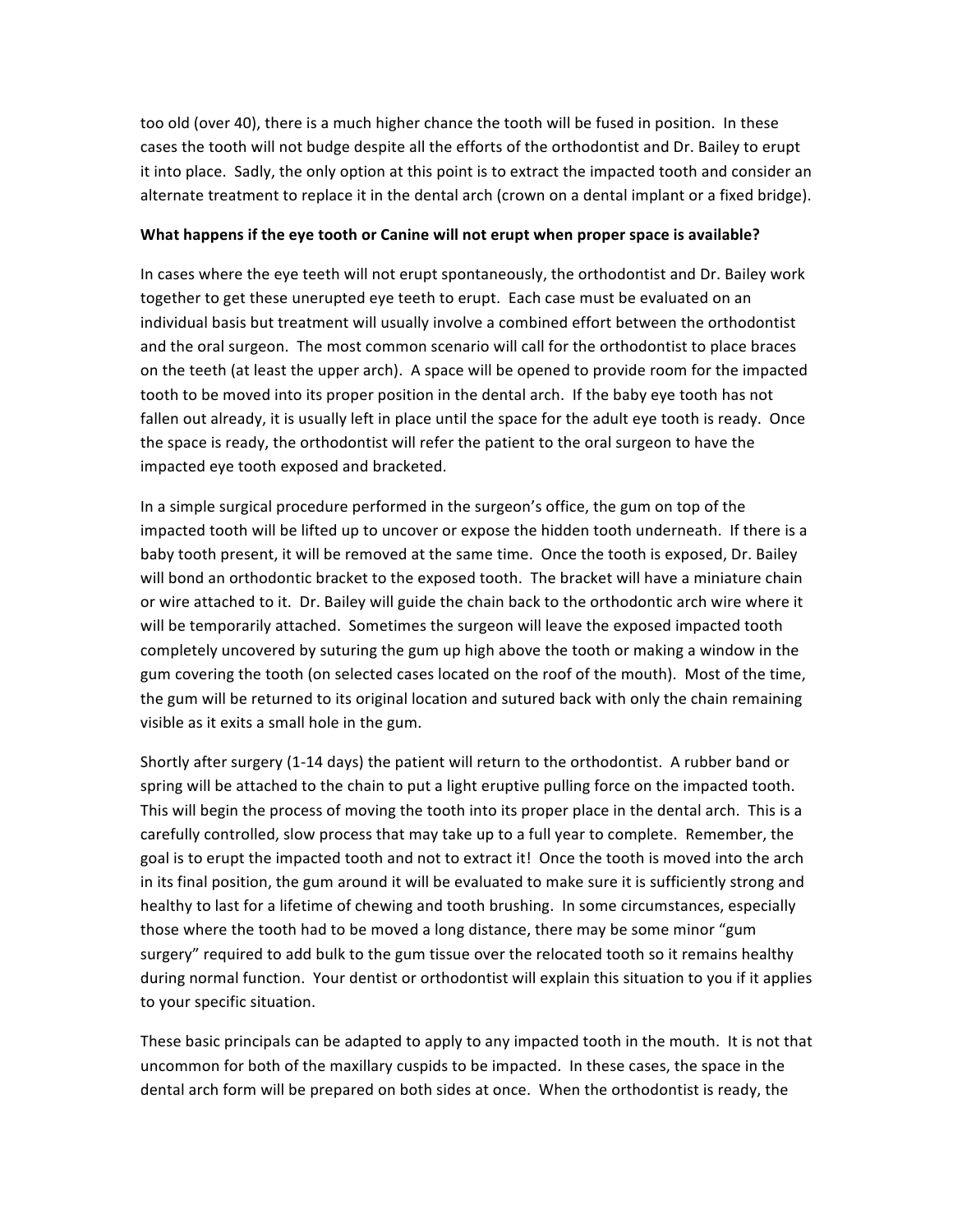too old (over 40), there is a much higher chance the tooth will be fused in position. In these cases the tooth will not budge despite all the efforts of the orthodontist and Dr. Bailey to erupt it into place. Sadly, the only option at this point is to extract the impacted tooth and consider an alternate treatment to replace it in the dental arch (crown on a dental implant or a fixed bridge).

## **What happens if the eye tooth or Canine will not erupt when proper space is available?**

In cases where the eye teeth will not erupt spontaneously, the orthodontist and Dr. Bailey work together to get these unerupted eye teeth to erupt. Each case must be evaluated on an individual basis but treatment will usually involve a combined effort between the orthodontist and the oral surgeon. The most common scenario will call for the orthodontist to place braces on the teeth (at least the upper arch). A space will be opened to provide room for the impacted tooth to be moved into its proper position in the dental arch. If the baby eye tooth has not fallen out already, it is usually left in place until the space for the adult eye tooth is ready. Once the space is ready, the orthodontist will refer the patient to the oral surgeon to have the impacted eye tooth exposed and bracketed.

In a simple surgical procedure performed in the surgeon's office, the gum on top of the impacted tooth will be lifted up to uncover or expose the hidden tooth underneath. If there is a baby tooth present, it will be removed at the same time. Once the tooth is exposed, Dr. Bailey will bond an orthodontic bracket to the exposed tooth. The bracket will have a miniature chain or wire attached to it. Dr. Bailey will guide the chain back to the orthodontic arch wire where it will be temporarily attached. Sometimes the surgeon will leave the exposed impacted tooth completely uncovered by suturing the gum up high above the tooth or making a window in the gum covering the tooth (on selected cases located on the roof of the mouth). Most of the time, the gum will be returned to its original location and sutured back with only the chain remaining visible as it exits a small hole in the gum.

Shortly after surgery (1‐14 days) the patient will return to the orthodontist. A rubber band or spring will be attached to the chain to put a light eruptive pulling force on the impacted tooth. This will begin the process of moving the tooth into its proper place in the dental arch. This is a carefully controlled, slow process that may take up to a full year to complete. Remember, the goal is to erupt the impacted tooth and not to extract it! Once the tooth is moved into the arch in its final position, the gum around it will be evaluated to make sure it is sufficiently strong and healthy to last for a lifetime of chewing and tooth brushing. In some circumstances, especially those where the tooth had to be moved a long distance, there may be some minor "gum surgery" required to add bulk to the gum tissue over the relocated tooth so it remains healthy during normal function. Your dentist or orthodontist will explain this situation to you if it applies to your specific situation.

These basic principals can be adapted to apply to any impacted tooth in the mouth. It is not that uncommon for both of the maxillary cuspids to be impacted. In these cases, the space in the dental arch form will be prepared on both sides at once. When the orthodontist is ready, the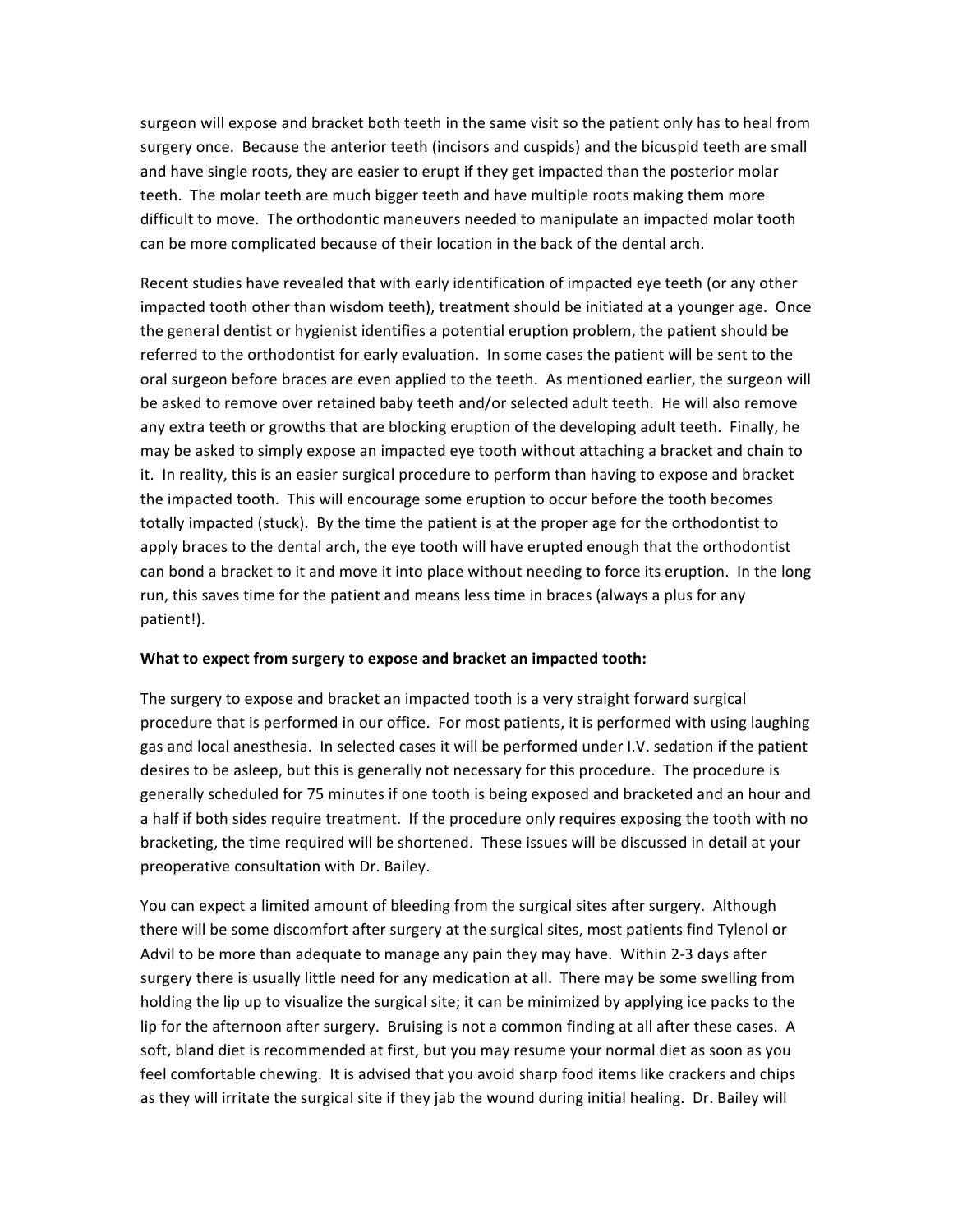surgeon will expose and bracket both teeth in the same visit so the patient only has to heal from surgery once. Because the anterior teeth (incisors and cuspids) and the bicuspid teeth are small and have single roots, they are easier to erupt if they get impacted than the posterior molar teeth. The molar teeth are much bigger teeth and have multiple roots making them more difficult to move. The orthodontic maneuvers needed to manipulate an impacted molar tooth can be more complicated because of their location in the back of the dental arch.

Recent studies have revealed that with early identification of impacted eye teeth (or any other impacted tooth other than wisdom teeth), treatment should be initiated at a younger age. Once the general dentist or hygienist identifies a potential eruption problem, the patient should be referred to the orthodontist for early evaluation. In some cases the patient will be sent to the oral surgeon before braces are even applied to the teeth. As mentioned earlier, the surgeon will be asked to remove over retained baby teeth and/or selected adult teeth. He will also remove any extra teeth or growths that are blocking eruption of the developing adult teeth. Finally, he may be asked to simply expose an impacted eye tooth without attaching a bracket and chain to it. In reality, this is an easier surgical procedure to perform than having to expose and bracket the impacted tooth. This will encourage some eruption to occur before the tooth becomes totally impacted (stuck). By the time the patient is at the proper age for the orthodontist to apply braces to the dental arch, the eye tooth will have erupted enough that the orthodontist can bond a bracket to it and move it into place without needing to force its eruption. In the long run, this saves time for the patient and means less time in braces (always a plus for any patient!).

## **What to expect from surgery to expose and bracket an impacted tooth:**

The surgery to expose and bracket an impacted tooth is a very straight forward surgical procedure that is performed in our office. For most patients, it is performed with using laughing gas and local anesthesia. In selected cases it will be performed under I.V. sedation if the patient desires to be asleep, but this is generally not necessary for this procedure. The procedure is generally scheduled for 75 minutes if one tooth is being exposed and bracketed and an hour and a half if both sides require treatment. If the procedure only requires exposing the tooth with no bracketing, the time required will be shortened. These issues will be discussed in detail at your preoperative consultation with Dr. Bailey.

You can expect a limited amount of bleeding from the surgical sites after surgery. Although there will be some discomfort after surgery at the surgical sites, most patients find Tylenol or Advil to be more than adequate to manage any pain they may have. Within 2‐3 days after surgery there is usually little need for any medication at all. There may be some swelling from holding the lip up to visualize the surgical site; it can be minimized by applying ice packs to the lip for the afternoon after surgery. Bruising is not a common finding at all after these cases. A soft, bland diet is recommended at first, but you may resume your normal diet as soon as you feel comfortable chewing. It is advised that you avoid sharp food items like crackers and chips as they will irritate the surgical site if they jab the wound during initial healing. Dr. Bailey will